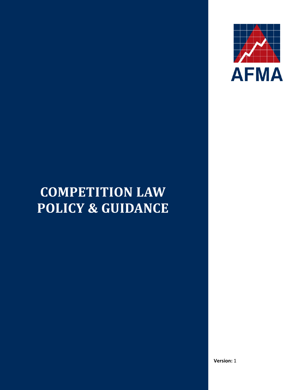

# **COMPETITION LAW POLICY & GUIDANCE**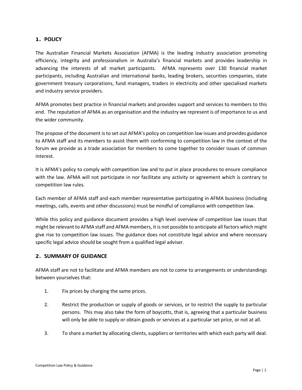## **1. POLICY**

The Australian Financial Markets Association (AFMA) is the leading industry association promoting efficiency, integrity and professionalism in Australia's financial markets and provides leadership in advancing the interests of all market participants. AFMA represents over 130 financial market participants, including Australian and international banks, leading brokers, securities companies, state government treasury corporations, fund managers, traders in electricity and other specialised markets and industry service providers.

AFMA promotes best practice in financial markets and provides support and services to members to this end. The reputation of AFMA as an organisation and the industry we represent is of importance to us and the wider community.

The propose of the document is to set out AFMA's policy on competition law issues and provides guidance to AFMA staff and its members to assist them with conforming to competition law in the context of the forum we provide as a trade association for members to come together to consider issues of common interest.

It is AFMA's policy to comply with competition law and to put in place procedures to ensure compliance with the law. AFMA will not participate in nor facilitate any activity or agreement which is contrary to competition law rules.

Each member of AFMA staff and each member representative participating in AFMA business (including meetings, calls, events and other discussions) must be mindful of compliance with competition law.

While this policy and guidance document provides a high level overview of competition law issues that might be relevant to AFMA staff and AFMA members, it is not possible to anticipate all factors which might give rise to competition law issues. The guidance does not constitute legal advice and where necessary specific legal advice should be sought from a qualified legal adviser.

## **2. SUMMARY OF GUIDANCE**

AFMA staff are not to facilitate and AFMA members are not to come to arrangements or understandings between yourselves that:

- 1. Fix prices by charging the same prices.
- 2. Restrict the production or supply of goods or services, or to restrict the supply to particular persons. This may also take the form of boycotts, that is, agreeing that a particular business will only be able to supply or obtain goods or services at a particular set price, or not at all.
- 3. To share a market by allocating clients, suppliers or territories with which each party will deal.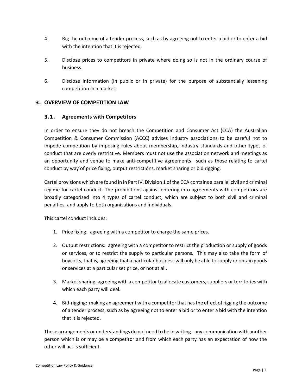- 4. Rig the outcome of a tender process, such as by agreeing not to enter a bid or to enter a bid with the intention that it is rejected.
- 5. Disclose prices to competitors in private where doing so is not in the ordinary course of business.
- 6. Disclose information (in public or in private) for the purpose of substantially lessening competition in a market.

## **3. OVERVIEW OF COMPETITION LAW**

## **3.1. Agreements with Competitors**

In order to ensure they do not breach the Competition and Consumer Act (CCA) the Australian Competition & Consumer Commission (ACCC) advises industry associations to be careful not to impede competition by imposing rules about membership, industry standards and other types of conduct that are overly restrictive. Members must not use the association network and meetings as an opportunity and venue to make anti-competitive agreements—such as those relating to cartel conduct by way of price fixing, output restrictions, market sharing or bid rigging.

Cartel provisions which are found in in Part IV, Division 1 of the CCA contains a parallel civil and criminal regime for cartel conduct. The prohibitions against entering into agreements with competitors are broadly categorised into 4 types of cartel conduct, which are subject to both civil and criminal penalties, and apply to both organisations and individuals.

This cartel conduct includes:

- 1. Price fixing: agreeing with a competitor to charge the same prices.
- 2. Output restrictions: agreeing with a competitor to restrict the production or supply of goods or services, or to restrict the supply to particular persons. This may also take the form of boycotts, that is, agreeing that a particular business will only be able to supply or obtain goods or services at a particular set price, or not at all.
- 3. Market sharing: agreeing with a competitor to allocate customers, suppliers or territories with which each party will deal.
- 4. Bid-rigging: making an agreement with a competitor that has the effect of rigging the outcome of a tender process, such as by agreeing not to enter a bid or to enter a bid with the intention that it is rejected.

These arrangements or understandings do not need to be in writing - any communication with another person which is or may be a competitor and from which each party has an expectation of how the other will act is sufficient.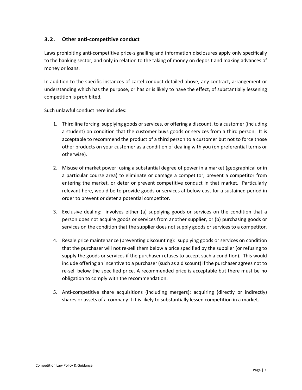## **3.2. Other anti-competitive conduct**

Laws prohibiting anti-competitive price-signalling and information disclosures apply only specifically to the banking sector, and only in relation to the taking of money on deposit and making advances of money or loans.

In addition to the specific instances of cartel conduct detailed above, any contract, arrangement or understanding which has the purpose, or has or is likely to have the effect, of substantially lessening competition is prohibited.

Such unlawful conduct here includes:

- 1. Third line forcing: supplying goods or services, or offering a discount, to a customer (including a student) on condition that the customer buys goods or services from a third person. It is acceptable to recommend the product of a third person to a customer but not to force those other products on your customer as a condition of dealing with you (on preferential terms or otherwise).
- 2. Misuse of market power: using a substantial degree of power in a market (geographical or in a particular course area) to eliminate or damage a competitor, prevent a competitor from entering the market, or deter or prevent competitive conduct in that market. Particularly relevant here, would be to provide goods or services at below cost for a sustained period in order to prevent or deter a potential competitor.
- 3. Exclusive dealing: involves either (a) supplying goods or services on the condition that a person does not acquire goods or services from another supplier, or (b) purchasing goods or services on the condition that the supplier does not supply goods or services to a competitor.
- 4. Resale price maintenance (preventing discounting): supplying goods or services on condition that the purchaser will not re-sell them below a price specified by the supplier (or refusing to supply the goods or services if the purchaser refuses to accept such a condition). This would include offering an incentive to a purchaser (such as a discount) if the purchaser agrees not to re-sell below the specified price. A recommended price is acceptable but there must be no obligation to comply with the recommendation.
- 5. Anti-competitive share acquisitions (including mergers): acquiring (directly or indirectly) shares or assets of a company if it is likely to substantially lessen competition in a market.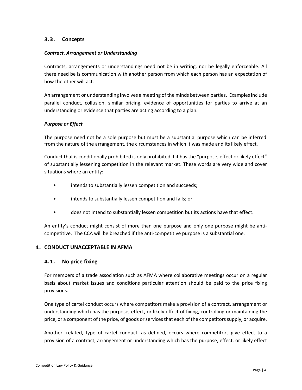## **3.3. Concepts**

## *Contract, Arrangement or Understanding*

Contracts, arrangements or understandings need not be in writing, nor be legally enforceable. All there need be is communication with another person from which each person has an expectation of how the other will act.

An arrangement or understanding involves a meeting of the minds between parties. Examples include parallel conduct, collusion, similar pricing, evidence of opportunities for parties to arrive at an understanding or evidence that parties are acting according to a plan.

## *Purpose or Effect*

The purpose need not be a sole purpose but must be a substantial purpose which can be inferred from the nature of the arrangement, the circumstances in which it was made and its likely effect.

Conduct that is conditionally prohibited is only prohibited if it has the "purpose, effect or likely effect" of substantially lessening competition in the relevant market. These words are very wide and cover situations where an entity:

- intends to substantially lessen competition and succeeds;
- intends to substantially lessen competition and fails; or
- does not intend to substantially lessen competition but its actions have that effect.

An entity's conduct might consist of more than one purpose and only one purpose might be anticompetitive. The CCA will be breached if the anti-competitive purpose is a substantial one.

## **4. CONDUCT UNACCEPTABLE IN AFMA**

## **4.1. No price fixing**

For members of a trade association such as AFMA where collaborative meetings occur on a regular basis about market issues and conditions particular attention should be paid to the price fixing provisions.

One type of cartel conduct occurs where competitors make a provision of a contract, arrangement or understanding which has the purpose, effect, or likely effect of fixing, controlling or maintaining the price, or a component of the price, of goods or services that each of the competitors supply, or acquire.

Another, related, type of cartel conduct, as defined, occurs where competitors give effect to a provision of a contract, arrangement or understanding which has the purpose, effect, or likely effect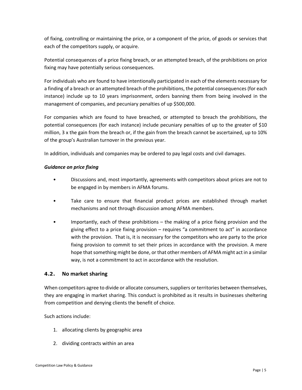of fixing, controlling or maintaining the price, or a component of the price, of goods or services that each of the competitors supply, or acquire.

Potential consequences of a price fixing breach, or an attempted breach, of the prohibitions on price fixing may have potentially serious consequences.

For individuals who are found to have intentionally participated in each of the elements necessary for a finding of a breach or an attempted breach of the prohibitions, the potential consequences (for each instance) include up to 10 years imprisonment, orders banning them from being involved in the management of companies, and pecuniary penalties of up \$500,000.

For companies which are found to have breached, or attempted to breach the prohibitions, the potential consequences (for each instance) include pecuniary penalties of up to the greater of \$10 million, 3 x the gain from the breach or, if the gain from the breach cannot be ascertained, up to 10% of the group's Australian turnover in the previous year.

In addition, individuals and companies may be ordered to pay legal costs and civil damages.

## *Guidance on price fixing*

- Discussions and, most importantly, agreements with competitors about prices are not to be engaged in by members in AFMA forums.
- Take care to ensure that financial product prices are established through market mechanisms and not through discussion among AFMA members.
- Importantly, each of these prohibitions the making of a price fixing provision and the giving effect to a price fixing provision – requires "a commitment to act" in accordance with the provision. That is, it is necessary for the competitors who are party to the price fixing provision to commit to set their prices in accordance with the provision. A mere hope that something might be done, or that other members of AFMA might act in a similar way, is not a commitment to act in accordance with the resolution.

## **4.2. No market sharing**

When competitors agree to divide or allocate consumers, suppliers or territories between themselves, they are engaging in market sharing. This conduct is prohibited as it results in businesses sheltering from competition and denying clients the benefit of choice.

Such actions include:

- 1. allocating clients by geographic area
- 2. dividing contracts within an area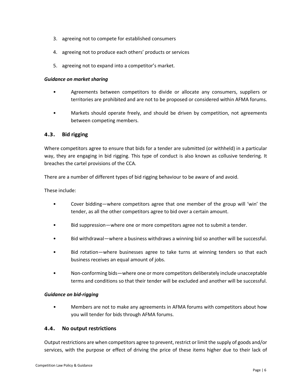- 3. agreeing not to compete for established consumers
- 4. agreeing not to produce each others' products or services
- 5. agreeing not to expand into a competitor's market.

#### *Guidance on market sharing*

- Agreements between competitors to divide or allocate any consumers, suppliers or territories are prohibited and are not to be proposed or considered within AFMA forums.
- Markets should operate freely, and should be driven by competition, not agreements between competing members.

## **4.3. Bid rigging**

Where competitors agree to ensure that bids for a tender are submitted (or withheld) in a particular way, they are engaging in bid rigging. This type of conduct is also known as collusive tendering. It breaches the cartel provisions of the CCA.

There are a number of different types of bid rigging behaviour to be aware of and avoid.

These include:

- Cover bidding—where competitors agree that one member of the group will 'win' the tender, as all the other competitors agree to bid over a certain amount.
- Bid suppression—where one or more competitors agree not to submit a tender.
- Bid withdrawal—where a business withdraws a winning bid so another will be successful.
- Bid rotation—where businesses agree to take turns at winning tenders so that each business receives an equal amount of jobs.
- Non-conforming bids—where one or more competitors deliberately include unacceptable terms and conditions so that their tender will be excluded and another will be successful.

#### *Guidance on bid-rigging*

• Members are not to make any agreements in AFMA forums with competitors about how you will tender for bids through AFMA forums.

## **4.4. No output restrictions**

Output restrictions are when competitors agree to prevent, restrict or limit the supply of goods and/or services, with the purpose or effect of driving the price of these items higher due to their lack of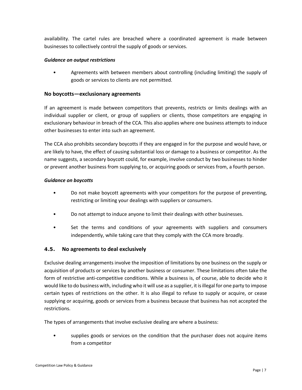availability. The cartel rules are breached where a coordinated agreement is made between businesses to collectively control the supply of goods or services.

## *Guidance on output restrictions*

• Agreements with between members about controlling (including limiting) the supply of goods or services to clients are not permitted.

## **No boycotts—exclusionary agreements**

If an agreement is made between competitors that prevents, restricts or limits dealings with an individual supplier or client, or group of suppliers or clients, those competitors are engaging in exclusionary behaviour in breach of the CCA. This also applies where one business attempts to induce other businesses to enter into such an agreement.

The CCA also prohibits secondary boycotts if they are engaged in for the purpose and would have, or are likely to have, the effect of causing substantial loss or damage to a business or competitor. As the name suggests, a secondary boycott could, for example, involve conduct by two businesses to hinder or prevent another business from supplying to, or acquiring goods or services from, a fourth person.

## *Guidance on boycotts*

- Do not make boycott agreements with your competitors for the purpose of preventing, restricting or limiting your dealings with suppliers or consumers.
- Do not attempt to induce anyone to limit their dealings with other businesses.
- Set the terms and conditions of your agreements with suppliers and consumers independently, while taking care that they comply with the CCA more broadly.

## **4.5. No agreements to deal exclusively**

Exclusive dealing arrangements involve the imposition of limitations by one business on the supply or acquisition of products or services by another business or consumer. These limitations often take the form of restrictive anti-competitive conditions. While a business is, of course, able to decide who it would like to do business with, including who it will use as a supplier, it is illegal for one party to impose certain types of restrictions on the other. It is also illegal to refuse to supply or acquire, or cease supplying or acquiring, goods or services from a business because that business has not accepted the restrictions.

The types of arrangements that involve exclusive dealing are where a business:

supplies goods or services on the condition that the purchaser does not acquire items from a competitor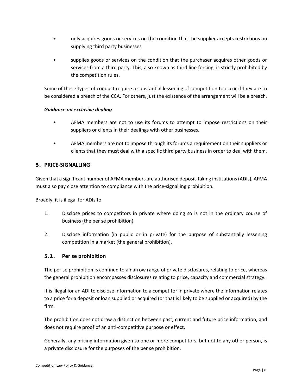- only acquires goods or services on the condition that the supplier accepts restrictions on supplying third party businesses
- supplies goods or services on the condition that the purchaser acquires other goods or services from a third party. This, also known as third line forcing, is strictly prohibited by the competition rules.

Some of these types of conduct require a substantial lessening of competition to occur if they are to be considered a breach of the CCA. For others, just the existence of the arrangement will be a breach.

## *Guidance on exclusive dealing*

- AFMA members are not to use its forums to attempt to impose restrictions on their suppliers or clients in their dealings with other businesses.
- AFMA members are not to impose through its forums a requirement on their suppliers or clients that they must deal with a specific third party business in order to deal with them.

## **5. PRICE-SIGNALLING**

Given that a significant number of AFMA members are authorised deposit-taking institutions (ADIs), AFMA must also pay close attention to compliance with the price-signalling prohibition.

Broadly, it is illegal for ADIs to

- 1. Disclose prices to competitors in private where doing so is not in the ordinary course of business (the per se prohibition).
- 2. Disclose information (in public or in private) for the purpose of substantially lessening competition in a market (the general prohibition).

## **5.1. Per se prohibition**

The per se prohibition is confined to a narrow range of private disclosures, relating to price, whereas the general prohibition encompasses disclosures relating to price, capacity and commercial strategy.

It is illegal for an ADI to disclose information to a competitor in private where the information relates to a price for a deposit or loan supplied or acquired (or that is likely to be supplied or acquired) by the firm.

The prohibition does not draw a distinction between past, current and future price information, and does not require proof of an anti-competitive purpose or effect.

Generally, any pricing information given to one or more competitors, but not to any other person, is a private disclosure for the purposes of the per se prohibition.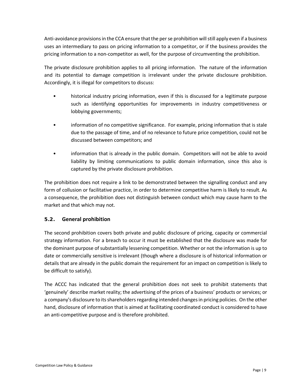Anti-avoidance provisions in the CCA ensure that the per se prohibition will still apply even if a business uses an intermediary to pass on pricing information to a competitor, or if the business provides the pricing information to a non-competitor as well, for the purpose of circumventing the prohibition.

The private disclosure prohibition applies to all pricing information. The nature of the information and its potential to damage competition is irrelevant under the private disclosure prohibition. Accordingly, it is illegal for competitors to discuss:

- historical industry pricing information, even if this is discussed for a legitimate purpose such as identifying opportunities for improvements in industry competitiveness or lobbying governments;
- information of no competitive significance. For example, pricing information that is stale due to the passage of time, and of no relevance to future price competition, could not be discussed between competitors; and
- information that is already in the public domain. Competitors will not be able to avoid liability by limiting communications to public domain information, since this also is captured by the private disclosure prohibition.

The prohibition does not require a link to be demonstrated between the signalling conduct and any form of collusion or facilitative practice, in order to determine competitive harm is likely to result. As a consequence, the prohibition does not distinguish between conduct which may cause harm to the market and that which may not.

## **5.2. General prohibition**

The second prohibition covers both private and public disclosure of pricing, capacity or commercial strategy information. For a breach to occur it must be established that the disclosure was made for the dominant purpose of substantially lessening competition. Whether or not the information is up to date or commercially sensitive is irrelevant (though where a disclosure is of historical information or details that are already in the public domain the requirement for an impact on competition is likely to be difficult to satisfy).

The ACCC has indicated that the general prohibition does not seek to prohibit statements that 'genuinely' describe market reality; the advertising of the prices of a business' products or services; or a company's disclosure to its shareholders regarding intended changes in pricing policies. On the other hand, disclosure of information that is aimed at facilitating coordinated conduct is considered to have an anti-competitive purpose and is therefore prohibited.